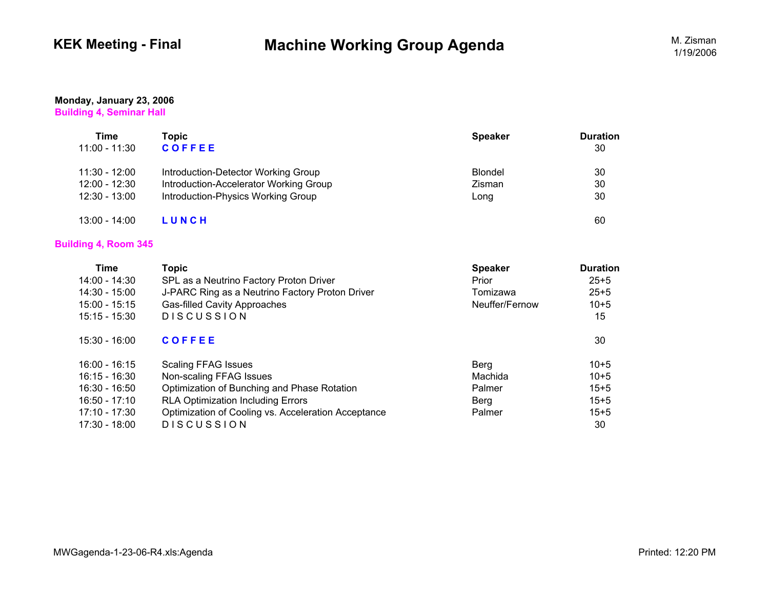# **KEK Meeting - Final Machine Working Group Agenda** M. Zisman M. Zisman

### **Monday, January 23, 2006 Building 4, Seminar Hall**

| Time<br>11:00 - 11:30 | Topic<br><b>COFFEE</b>                 | <b>Speaker</b> | <b>Duration</b><br>30 |
|-----------------------|----------------------------------------|----------------|-----------------------|
| 11:30 - 12:00         | Introduction-Detector Working Group    | Blondel        | 30                    |
| $12:00 - 12:30$       | Introduction-Accelerator Working Group | Zisman         | 30                    |
| $12:30 - 13:00$       | Introduction-Physics Working Group     | Long           | 30                    |
| $13:00 - 14:00$       | LUNCH                                  |                | 60                    |

## **Building 4, Room 345**

| Time            | <b>Topic</b>                                        | <b>Speaker</b> | <b>Duration</b> |
|-----------------|-----------------------------------------------------|----------------|-----------------|
| 14:00 - 14:30   | SPL as a Neutrino Factory Proton Driver             | Prior          | $25 + 5$        |
| 14:30 - 15:00   | J-PARC Ring as a Neutrino Factory Proton Driver     | Tomizawa       | $25 + 5$        |
| $15:00 - 15:15$ | <b>Gas-filled Cavity Approaches</b>                 | Neuffer/Fernow | $10 + 5$        |
| $15:15 - 15:30$ | <b>DISCUSSION</b>                                   |                | 15              |
| $15:30 - 16:00$ | <b>COFFEE</b>                                       |                | 30              |
| 16:00 - 16:15   | <b>Scaling FFAG Issues</b>                          | Berg           | $10 + 5$        |
| 16:15 - 16:30   | Non-scaling FFAG Issues                             | Machida        | $10 + 5$        |
| 16:30 - 16:50   | Optimization of Bunching and Phase Rotation         | Palmer         | $15 + 5$        |
| 16:50 - 17:10   | <b>RLA Optimization Including Errors</b>            | <b>Berg</b>    | $15 + 5$        |
| 17:10 - 17:30   | Optimization of Cooling vs. Acceleration Acceptance | Palmer         | $15 + 5$        |
| 17:30 - 18:00   | <b>DISCUSSION</b>                                   |                | 30              |